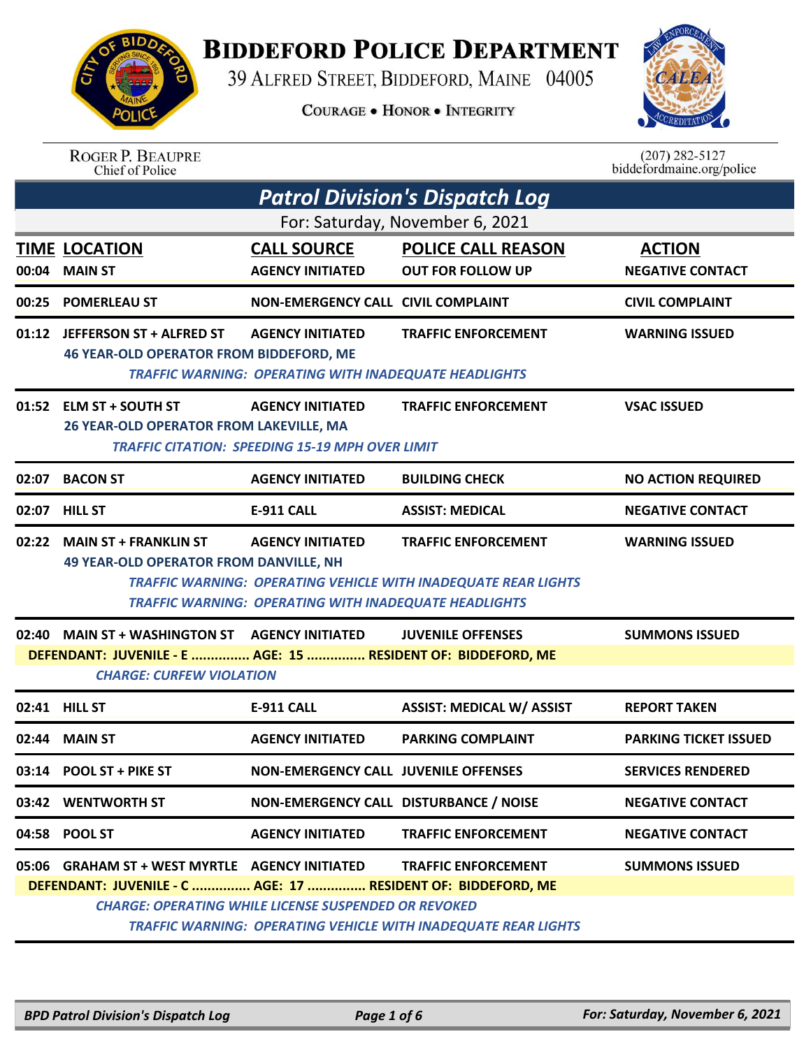## **BIDDEFORD POLICE DEPARTMENT**

39 ALFRED STREET, BIDDEFORD, MAINE 04005

**COURAGE . HONOR . INTEGRITY** 



## ROGER P. BEAUPRE<br>Chief of Police

 $(207)$  282-5127<br>biddefordmaine.org/police

|                                 | <b>Patrol Division's Dispatch Log</b>                                                             |                                                              |                                                                       |                              |  |  |
|---------------------------------|---------------------------------------------------------------------------------------------------|--------------------------------------------------------------|-----------------------------------------------------------------------|------------------------------|--|--|
| For: Saturday, November 6, 2021 |                                                                                                   |                                                              |                                                                       |                              |  |  |
|                                 | <b>TIME LOCATION</b>                                                                              | <b>CALL SOURCE</b>                                           | <b>POLICE CALL REASON</b>                                             | <b>ACTION</b>                |  |  |
| 00:04                           | <b>MAIN ST</b>                                                                                    | <b>AGENCY INITIATED</b>                                      | <b>OUT FOR FOLLOW UP</b>                                              | <b>NEGATIVE CONTACT</b>      |  |  |
| 00:25                           | <b>POMERLEAU ST</b>                                                                               | <b>NON-EMERGENCY CALL CIVIL COMPLAINT</b>                    |                                                                       | <b>CIVIL COMPLAINT</b>       |  |  |
|                                 | 01:12 JEFFERSON ST + ALFRED ST                                                                    | <b>AGENCY INITIATED</b>                                      | <b>TRAFFIC ENFORCEMENT</b>                                            | <b>WARNING ISSUED</b>        |  |  |
|                                 | <b>46 YEAR-OLD OPERATOR FROM BIDDEFORD, ME</b>                                                    | <b>TRAFFIC WARNING: OPERATING WITH INADEQUATE HEADLIGHTS</b> |                                                                       |                              |  |  |
|                                 | 01:52 ELM ST + SOUTH ST                                                                           | <b>AGENCY INITIATED</b>                                      | <b>TRAFFIC ENFORCEMENT</b>                                            | <b>VSAC ISSUED</b>           |  |  |
|                                 | 26 YEAR-OLD OPERATOR FROM LAKEVILLE, MA<br><b>TRAFFIC CITATION: SPEEDING 15-19 MPH OVER LIMIT</b> |                                                              |                                                                       |                              |  |  |
| 02:07                           | <b>BACON ST</b>                                                                                   | <b>AGENCY INITIATED</b>                                      | <b>BUILDING CHECK</b>                                                 | <b>NO ACTION REQUIRED</b>    |  |  |
|                                 | 02:07 HILL ST                                                                                     | <b>E-911 CALL</b>                                            | <b>ASSIST: MEDICAL</b>                                                | <b>NEGATIVE CONTACT</b>      |  |  |
| 02:22                           | <b>MAIN ST + FRANKLIN ST</b>                                                                      | <b>AGENCY INITIATED</b>                                      | <b>TRAFFIC ENFORCEMENT</b>                                            | <b>WARNING ISSUED</b>        |  |  |
|                                 | <b>49 YEAR-OLD OPERATOR FROM DANVILLE, NH</b>                                                     |                                                              |                                                                       |                              |  |  |
|                                 |                                                                                                   | <b>TRAFFIC WARNING: OPERATING WITH INADEQUATE HEADLIGHTS</b> | <b>TRAFFIC WARNING: OPERATING VEHICLE WITH INADEQUATE REAR LIGHTS</b> |                              |  |  |
|                                 | 02:40 MAIN ST + WASHINGTON ST                                                                     | <b>AGENCY INITIATED</b>                                      | <b>JUVENILE OFFENSES</b>                                              | <b>SUMMONS ISSUED</b>        |  |  |
|                                 | DEFENDANT: JUVENILE - E  AGE: 15  RESIDENT OF: BIDDEFORD, ME                                      |                                                              |                                                                       |                              |  |  |
|                                 | <b>CHARGE: CURFEW VIOLATION</b>                                                                   |                                                              |                                                                       |                              |  |  |
|                                 | 02:41 HILL ST                                                                                     | <b>E-911 CALL</b>                                            | <b>ASSIST: MEDICAL W/ ASSIST</b>                                      | <b>REPORT TAKEN</b>          |  |  |
| 02:44                           | <b>MAIN ST</b>                                                                                    | <b>AGENCY INITIATED</b>                                      | <b>PARKING COMPLAINT</b>                                              | <b>PARKING TICKET ISSUED</b> |  |  |
|                                 | 03:14 POOL ST + PIKE ST                                                                           |                                                              | <b>NON-EMERGENCY CALL JUVENILE OFFENSES</b>                           |                              |  |  |
|                                 |                                                                                                   |                                                              |                                                                       | <b>SERVICES RENDERED</b>     |  |  |
|                                 | 03:42 WENTWORTH ST                                                                                | NON-EMERGENCY CALL DISTURBANCE / NOISE                       |                                                                       | <b>NEGATIVE CONTACT</b>      |  |  |
|                                 | 04:58 POOL ST                                                                                     | <b>AGENCY INITIATED</b>                                      | <b>TRAFFIC ENFORCEMENT</b>                                            | <b>NEGATIVE CONTACT</b>      |  |  |
|                                 | 05:06 GRAHAM ST + WEST MYRTLE AGENCY INITIATED                                                    |                                                              | <b>TRAFFIC ENFORCEMENT</b>                                            | <b>SUMMONS ISSUED</b>        |  |  |
|                                 | DEFENDANT: JUVENILE - C  AGE: 17  RESIDENT OF: BIDDEFORD, ME                                      |                                                              |                                                                       |                              |  |  |
|                                 |                                                                                                   | <b>CHARGE: OPERATING WHILE LICENSE SUSPENDED OR REVOKED</b>  | <b>TRAFFIC WARNING: OPERATING VEHICLE WITH INADEQUATE REAR LIGHTS</b> |                              |  |  |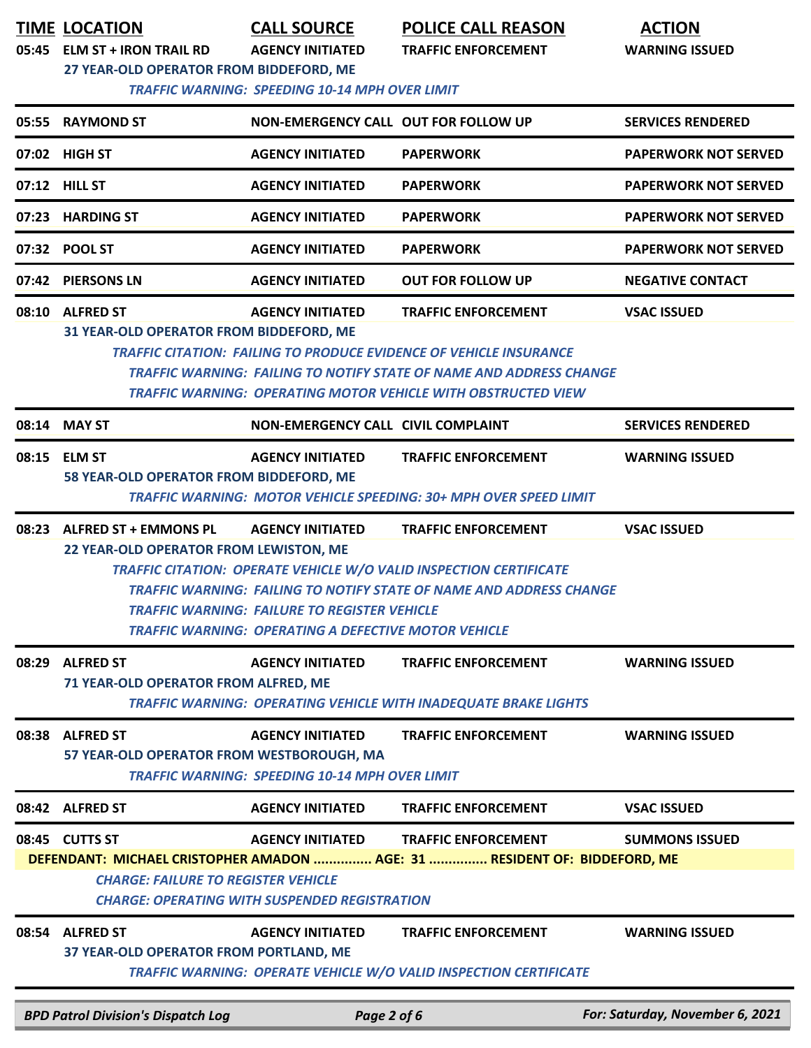|       | <b>TIME LOCATION</b><br>05:45 ELM ST + IRON TRAIL RD<br>27 YEAR-OLD OPERATOR FROM BIDDEFORD, ME                      | <b>CALL SOURCE</b><br><b>AGENCY INITIATED</b><br><b>TRAFFIC WARNING: SPEEDING 10-14 MPH OVER LIMIT</b>                                  | <b>POLICE CALL REASON</b><br><b>TRAFFIC ENFORCEMENT</b>                                                                                                                                                                                                | <b>ACTION</b><br><b>WARNING ISSUED</b> |
|-------|----------------------------------------------------------------------------------------------------------------------|-----------------------------------------------------------------------------------------------------------------------------------------|--------------------------------------------------------------------------------------------------------------------------------------------------------------------------------------------------------------------------------------------------------|----------------------------------------|
|       | 05:55 RAYMOND ST                                                                                                     | NON-EMERGENCY CALL OUT FOR FOLLOW UP                                                                                                    |                                                                                                                                                                                                                                                        | <b>SERVICES RENDERED</b>               |
|       | 07:02 HIGH ST                                                                                                        | <b>AGENCY INITIATED</b>                                                                                                                 | <b>PAPERWORK</b>                                                                                                                                                                                                                                       | <b>PAPERWORK NOT SERVED</b>            |
|       | 07:12 HILL ST                                                                                                        | <b>AGENCY INITIATED</b>                                                                                                                 | <b>PAPERWORK</b>                                                                                                                                                                                                                                       | <b>PAPERWORK NOT SERVED</b>            |
| 07:23 | <b>HARDING ST</b>                                                                                                    | <b>AGENCY INITIATED</b>                                                                                                                 | <b>PAPERWORK</b>                                                                                                                                                                                                                                       | <b>PAPERWORK NOT SERVED</b>            |
| 07:32 | <b>POOL ST</b>                                                                                                       | <b>AGENCY INITIATED</b>                                                                                                                 | <b>PAPERWORK</b>                                                                                                                                                                                                                                       | <b>PAPERWORK NOT SERVED</b>            |
|       | 07:42 PIERSONS LN                                                                                                    | <b>AGENCY INITIATED</b>                                                                                                                 | <b>OUT FOR FOLLOW UP</b>                                                                                                                                                                                                                               | <b>NEGATIVE CONTACT</b>                |
|       | 08:10 ALFRED ST<br>31 YEAR-OLD OPERATOR FROM BIDDEFORD, ME                                                           | <b>AGENCY INITIATED</b>                                                                                                                 | <b>TRAFFIC ENFORCEMENT</b><br><b>TRAFFIC CITATION: FAILING TO PRODUCE EVIDENCE OF VEHICLE INSURANCE</b><br>TRAFFIC WARNING: FAILING TO NOTIFY STATE OF NAME AND ADDRESS CHANGE<br><b>TRAFFIC WARNING: OPERATING MOTOR VEHICLE WITH OBSTRUCTED VIEW</b> | <b>VSAC ISSUED</b>                     |
| 08:14 | <b>MAY ST</b>                                                                                                        | NON-EMERGENCY CALL CIVIL COMPLAINT                                                                                                      |                                                                                                                                                                                                                                                        | <b>SERVICES RENDERED</b>               |
|       | 08:15 ELM ST<br>58 YEAR-OLD OPERATOR FROM BIDDEFORD, ME                                                              | <b>AGENCY INITIATED</b>                                                                                                                 | <b>TRAFFIC ENFORCEMENT</b><br>TRAFFIC WARNING: MOTOR VEHICLE SPEEDING: 30+ MPH OVER SPEED LIMIT                                                                                                                                                        | <b>WARNING ISSUED</b>                  |
| 08:23 | <b>ALFRED ST + EMMONS PL</b><br>22 YEAR-OLD OPERATOR FROM LEWISTON, ME                                               | <b>AGENCY INITIATED</b><br>TRAFFIC WARNING:  FAILURE TO REGISTER VEHICLE<br><b>TRAFFIC WARNING: OPERATING A DEFECTIVE MOTOR VEHICLE</b> | <b>TRAFFIC ENFORCEMENT</b><br><b>TRAFFIC CITATION: OPERATE VEHICLE W/O VALID INSPECTION CERTIFICATE</b><br>TRAFFIC WARNING: FAILING TO NOTIFY STATE OF NAME AND ADDRESS CHANGE                                                                         | <b>VSAC ISSUED</b>                     |
| 08:29 | <b>ALFRED ST</b><br>71 YEAR-OLD OPERATOR FROM ALFRED, ME                                                             | <b>AGENCY INITIATED</b>                                                                                                                 | <b>TRAFFIC ENFORCEMENT</b><br><b>TRAFFIC WARNING: OPERATING VEHICLE WITH INADEQUATE BRAKE LIGHTS</b>                                                                                                                                                   | <b>WARNING ISSUED</b>                  |
| 08:38 | <b>ALFRED ST</b><br>57 YEAR-OLD OPERATOR FROM WESTBOROUGH, MA                                                        | <b>AGENCY INITIATED</b><br><b>TRAFFIC WARNING: SPEEDING 10-14 MPH OVER LIMIT</b>                                                        | <b>TRAFFIC ENFORCEMENT</b>                                                                                                                                                                                                                             | <b>WARNING ISSUED</b>                  |
|       | 08:42 ALFRED ST                                                                                                      | <b>AGENCY INITIATED</b>                                                                                                                 | <b>TRAFFIC ENFORCEMENT</b>                                                                                                                                                                                                                             | <b>VSAC ISSUED</b>                     |
|       | 08:45 CUTTS ST<br><b>CHARGE: FAILURE TO REGISTER VEHICLE</b><br><b>CHARGE: OPERATING WITH SUSPENDED REGISTRATION</b> | <b>AGENCY INITIATED</b>                                                                                                                 | <b>TRAFFIC ENFORCEMENT</b><br>DEFENDANT: MICHAEL CRISTOPHER AMADON  AGE: 31  RESIDENT OF: BIDDEFORD, ME                                                                                                                                                | <b>SUMMONS ISSUED</b>                  |
|       | 08:54 ALFRED ST<br>37 YEAR-OLD OPERATOR FROM PORTLAND, ME                                                            | <b>AGENCY INITIATED</b>                                                                                                                 | <b>TRAFFIC ENFORCEMENT</b><br><b>TRAFFIC WARNING: OPERATE VEHICLE W/O VALID INSPECTION CERTIFICATE</b>                                                                                                                                                 | <b>WARNING ISSUED</b>                  |
|       | <b>BPD Patrol Division's Dispatch Log</b>                                                                            | Page 2 of 6                                                                                                                             |                                                                                                                                                                                                                                                        | For: Saturday, November 6, 2021        |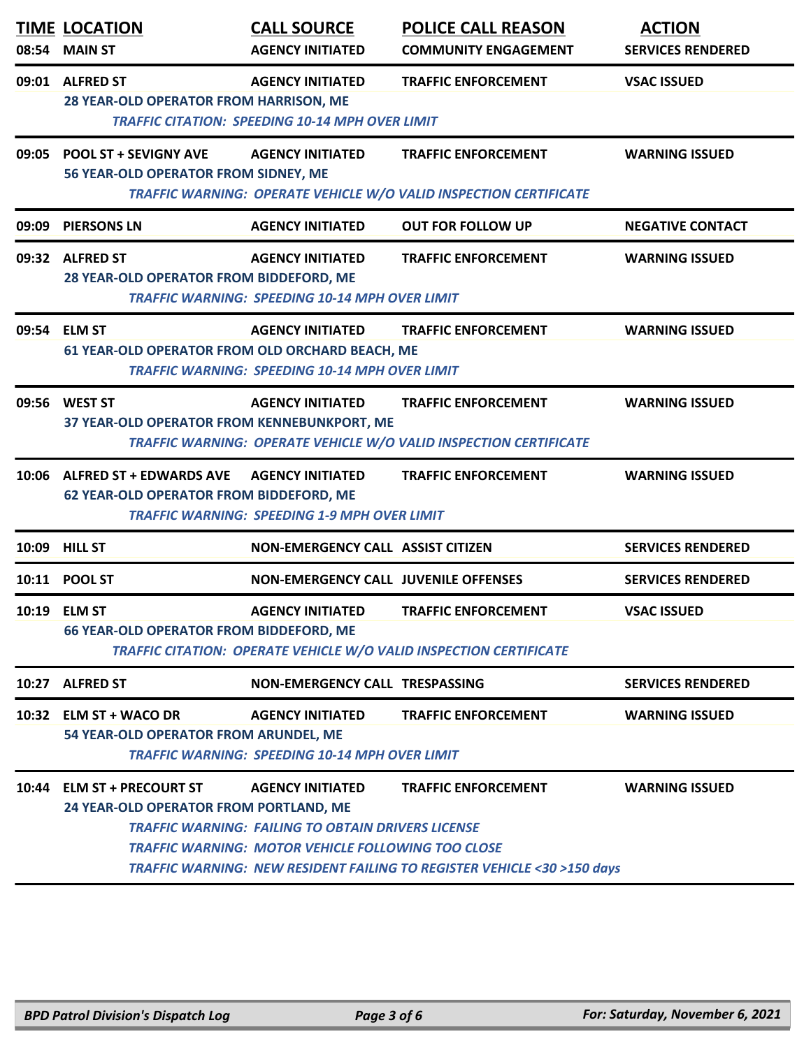|       | <b>TIME LOCATION</b><br>08:54 MAIN ST                                                                                                                                                                     | <b>CALL SOURCE</b><br><b>AGENCY INITIATED</b>                                                                                                     | <b>POLICE CALL REASON</b><br><b>COMMUNITY ENGAGEMENT</b>                                                           | <b>ACTION</b><br><b>SERVICES RENDERED</b> |  |
|-------|-----------------------------------------------------------------------------------------------------------------------------------------------------------------------------------------------------------|---------------------------------------------------------------------------------------------------------------------------------------------------|--------------------------------------------------------------------------------------------------------------------|-------------------------------------------|--|
|       | 09:01 ALFRED ST<br><b>AGENCY INITIATED</b><br><b>TRAFFIC ENFORCEMENT</b><br><b>VSAC ISSUED</b><br><b>28 YEAR-OLD OPERATOR FROM HARRISON, ME</b><br><b>TRAFFIC CITATION: SPEEDING 10-14 MPH OVER LIMIT</b> |                                                                                                                                                   |                                                                                                                    |                                           |  |
|       | 09:05 POOL ST + SEVIGNY AVE<br>56 YEAR-OLD OPERATOR FROM SIDNEY, ME                                                                                                                                       | <b>AGENCY INITIATED</b>                                                                                                                           | <b>TRAFFIC ENFORCEMENT</b><br>TRAFFIC WARNING: OPERATE VEHICLE W/O VALID INSPECTION CERTIFICATE                    | <b>WARNING ISSUED</b>                     |  |
| 09:09 | <b>PIERSONS LN</b>                                                                                                                                                                                        | <b>AGENCY INITIATED</b>                                                                                                                           | <b>OUT FOR FOLLOW UP</b>                                                                                           | <b>NEGATIVE CONTACT</b>                   |  |
|       | 09:32 ALFRED ST<br>28 YEAR-OLD OPERATOR FROM BIDDEFORD, ME                                                                                                                                                | <b>AGENCY INITIATED</b><br><b>TRAFFIC WARNING: SPEEDING 10-14 MPH OVER LIMIT</b>                                                                  | <b>TRAFFIC ENFORCEMENT</b>                                                                                         | <b>WARNING ISSUED</b>                     |  |
|       | 09:54 ELM ST<br>61 YEAR-OLD OPERATOR FROM OLD ORCHARD BEACH, ME                                                                                                                                           | <b>AGENCY INITIATED</b><br><b>TRAFFIC WARNING: SPEEDING 10-14 MPH OVER LIMIT</b>                                                                  | <b>TRAFFIC ENFORCEMENT</b>                                                                                         | <b>WARNING ISSUED</b>                     |  |
|       | 09:56 WEST ST<br>37 YEAR-OLD OPERATOR FROM KENNEBUNKPORT, ME                                                                                                                                              | <b>AGENCY INITIATED</b>                                                                                                                           | <b>TRAFFIC ENFORCEMENT</b><br>TRAFFIC WARNING: OPERATE VEHICLE W/O VALID INSPECTION CERTIFICATE                    | <b>WARNING ISSUED</b>                     |  |
|       | 10:06 ALFRED ST + EDWARDS AVE<br><b>62 YEAR-OLD OPERATOR FROM BIDDEFORD, ME</b>                                                                                                                           | <b>AGENCY INITIATED</b><br><b>TRAFFIC WARNING: SPEEDING 1-9 MPH OVER LIMIT</b>                                                                    | <b>TRAFFIC ENFORCEMENT</b>                                                                                         | <b>WARNING ISSUED</b>                     |  |
|       | 10:09 HILL ST                                                                                                                                                                                             | NON-EMERGENCY CALL ASSIST CITIZEN                                                                                                                 |                                                                                                                    | <b>SERVICES RENDERED</b>                  |  |
|       | 10:11 POOL ST                                                                                                                                                                                             | <b>NON-EMERGENCY CALL JUVENILE OFFENSES</b>                                                                                                       |                                                                                                                    | <b>SERVICES RENDERED</b>                  |  |
|       | 10:19 ELM ST<br><b>66 YEAR-OLD OPERATOR FROM BIDDEFORD, ME</b>                                                                                                                                            | <b>AGENCY INITIATED</b>                                                                                                                           | TRAFFIC ENFORCEMENT<br>TRAFFIC CITATION: OPERATE VEHICLE W/O VALID INSPECTION CERTIFICATE                          | <b>VSAC ISSUED</b>                        |  |
|       | 10:27 ALFRED ST                                                                                                                                                                                           | <b>NON-EMERGENCY CALL TRESPASSING</b>                                                                                                             |                                                                                                                    | <b>SERVICES RENDERED</b>                  |  |
|       | 10:32 ELM ST + WACO DR<br>54 YEAR-OLD OPERATOR FROM ARUNDEL, ME                                                                                                                                           | <b>AGENCY INITIATED</b><br><b>TRAFFIC WARNING: SPEEDING 10-14 MPH OVER LIMIT</b>                                                                  | <b>TRAFFIC ENFORCEMENT</b>                                                                                         | <b>WARNING ISSUED</b>                     |  |
|       | 10:44 ELM ST + PRECOURT ST<br>24 YEAR-OLD OPERATOR FROM PORTLAND, ME                                                                                                                                      | <b>AGENCY INITIATED</b><br><b>TRAFFIC WARNING: FAILING TO OBTAIN DRIVERS LICENSE</b><br><b>TRAFFIC WARNING: MOTOR VEHICLE FOLLOWING TOO CLOSE</b> | <b>TRAFFIC ENFORCEMENT</b><br><b>TRAFFIC WARNING: NEW RESIDENT FAILING TO REGISTER VEHICLE &lt;30 &gt;150 days</b> | <b>WARNING ISSUED</b>                     |  |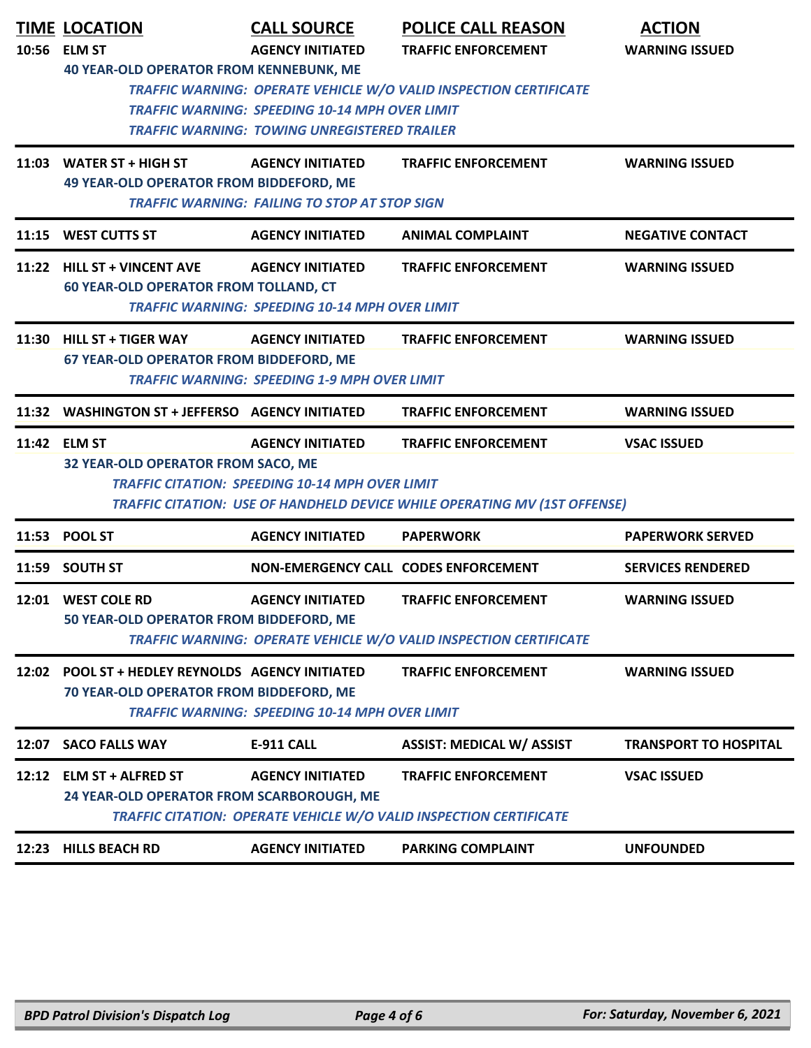|       | <b>TIME LOCATION</b>                                                                        | <b>CALL SOURCE</b>                                                                                                                      | <b>POLICE CALL REASON</b>                                                                               | <b>ACTION</b>                |
|-------|---------------------------------------------------------------------------------------------|-----------------------------------------------------------------------------------------------------------------------------------------|---------------------------------------------------------------------------------------------------------|------------------------------|
|       | 10:56 ELM ST<br><b>40 YEAR-OLD OPERATOR FROM KENNEBUNK, ME</b>                              | <b>AGENCY INITIATED</b><br><b>TRAFFIC WARNING: SPEEDING 10-14 MPH OVER LIMIT</b><br><b>TRAFFIC WARNING: TOWING UNREGISTERED TRAILER</b> | <b>TRAFFIC ENFORCEMENT</b><br>TRAFFIC WARNING: OPERATE VEHICLE W/O VALID INSPECTION CERTIFICATE         | <b>WARNING ISSUED</b>        |
| 11:03 | <b>WATER ST + HIGH ST</b><br><b>49 YEAR-OLD OPERATOR FROM BIDDEFORD, ME</b>                 | <b>AGENCY INITIATED</b><br><b>TRAFFIC WARNING: FAILING TO STOP AT STOP SIGN</b>                                                         | <b>TRAFFIC ENFORCEMENT</b>                                                                              | <b>WARNING ISSUED</b>        |
|       | 11:15 WEST CUTTS ST                                                                         | <b>AGENCY INITIATED</b>                                                                                                                 | <b>ANIMAL COMPLAINT</b>                                                                                 | <b>NEGATIVE CONTACT</b>      |
|       | 11:22 HILL ST + VINCENT AVE<br><b>60 YEAR-OLD OPERATOR FROM TOLLAND, CT</b>                 | <b>AGENCY INITIATED</b><br><b>TRAFFIC WARNING: SPEEDING 10-14 MPH OVER LIMIT</b>                                                        | <b>TRAFFIC ENFORCEMENT</b>                                                                              | <b>WARNING ISSUED</b>        |
|       | 11:30 HILL ST + TIGER WAY<br>67 YEAR-OLD OPERATOR FROM BIDDEFORD, ME                        | <b>AGENCY INITIATED</b><br><b>TRAFFIC WARNING: SPEEDING 1-9 MPH OVER LIMIT</b>                                                          | <b>TRAFFIC ENFORCEMENT</b>                                                                              | <b>WARNING ISSUED</b>        |
|       | 11:32 WASHINGTON ST + JEFFERSO AGENCY INITIATED                                             |                                                                                                                                         | <b>TRAFFIC ENFORCEMENT</b>                                                                              | <b>WARNING ISSUED</b>        |
|       | 11:42 ELM ST<br>32 YEAR-OLD OPERATOR FROM SACO, ME                                          | <b>AGENCY INITIATED</b><br><b>TRAFFIC CITATION: SPEEDING 10-14 MPH OVER LIMIT</b>                                                       | <b>TRAFFIC ENFORCEMENT</b><br>TRAFFIC CITATION: USE OF HANDHELD DEVICE WHILE OPERATING MV (1ST OFFENSE) | <b>VSAC ISSUED</b>           |
|       | 11:53 POOL ST                                                                               | <b>AGENCY INITIATED</b>                                                                                                                 | <b>PAPERWORK</b>                                                                                        | <b>PAPERWORK SERVED</b>      |
| 11:59 | <b>SOUTH ST</b>                                                                             | NON-EMERGENCY CALL CODES ENFORCEMENT                                                                                                    |                                                                                                         | <b>SERVICES RENDERED</b>     |
|       | 12:01 WEST COLE RD<br>50 YEAR-OLD OPERATOR FROM BIDDEFORD, ME                               | <b>AGENCY INITIATED</b>                                                                                                                 | <b>TRAFFIC ENFORCEMENT</b><br><b>TRAFFIC WARNING: OPERATE VEHICLE W/O VALID INSPECTION CERTIFICATE</b>  | <b>WARNING ISSUED</b>        |
|       | 12:02 POOL ST + HEDLEY REYNOLDS AGENCY INITIATED<br>70 YEAR-OLD OPERATOR FROM BIDDEFORD, ME | <b>TRAFFIC WARNING: SPEEDING 10-14 MPH OVER LIMIT</b>                                                                                   | <b>TRAFFIC ENFORCEMENT</b>                                                                              | <b>WARNING ISSUED</b>        |
| 12:07 | <b>SACO FALLS WAY</b>                                                                       | E-911 CALL                                                                                                                              | <b>ASSIST: MEDICAL W/ ASSIST</b>                                                                        | <b>TRANSPORT TO HOSPITAL</b> |
|       | 12:12 ELM ST + ALFRED ST<br>24 YEAR-OLD OPERATOR FROM SCARBOROUGH, ME                       | <b>AGENCY INITIATED</b>                                                                                                                 | <b>TRAFFIC ENFORCEMENT</b><br>TRAFFIC CITATION: OPERATE VEHICLE W/O VALID INSPECTION CERTIFICATE        | <b>VSAC ISSUED</b>           |
|       | 12:23 HILLS BEACH RD                                                                        | <b>AGENCY INITIATED</b>                                                                                                                 | <b>PARKING COMPLAINT</b>                                                                                | <b>UNFOUNDED</b>             |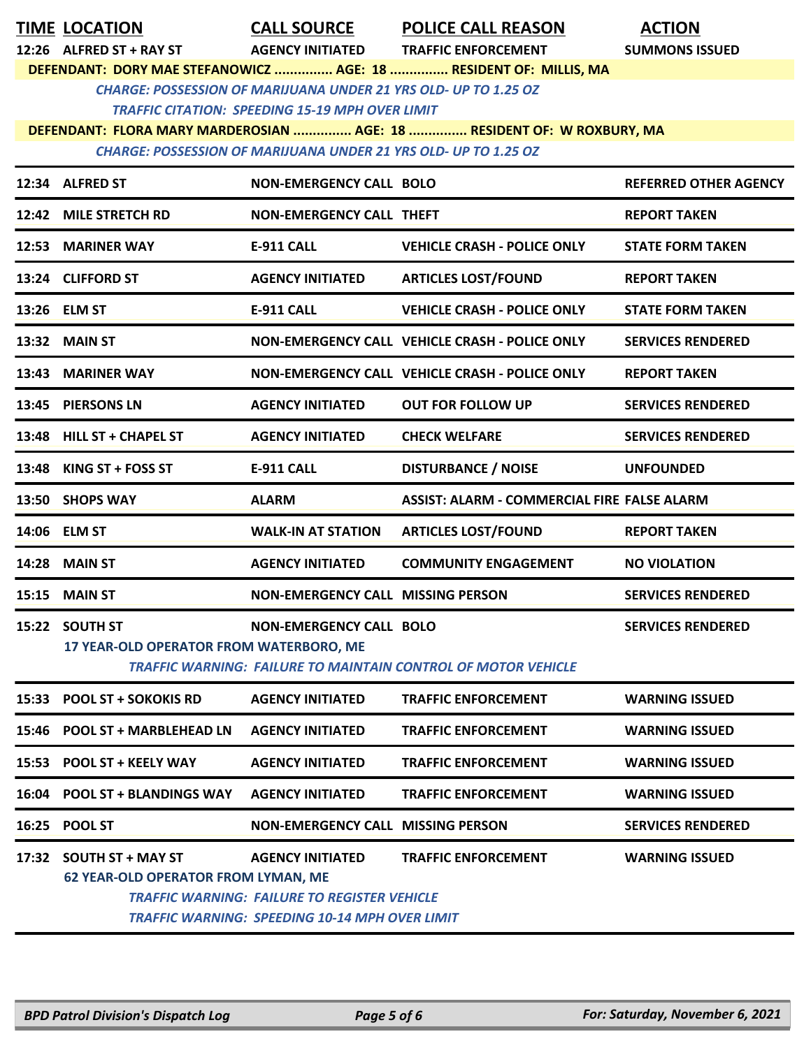|       | <b>TIME LOCATION</b>                                                   | <b>CALL SOURCE</b>                                                                                                                      | <b>POLICE CALL REASON</b>                                              | <b>ACTION</b>                |
|-------|------------------------------------------------------------------------|-----------------------------------------------------------------------------------------------------------------------------------------|------------------------------------------------------------------------|------------------------------|
|       | 12:26 ALFRED ST + RAY ST                                               | <b>AGENCY INITIATED</b>                                                                                                                 | <b>TRAFFIC ENFORCEMENT</b>                                             | <b>SUMMONS ISSUED</b>        |
|       |                                                                        |                                                                                                                                         | DEFENDANT: DORY MAE STEFANOWICZ  AGE: 18  RESIDENT OF: MILLIS, MA      |                              |
|       | <b>CHARGE: POSSESSION OF MARIJUANA UNDER 21 YRS OLD- UP TO 1.25 OZ</b> |                                                                                                                                         |                                                                        |                              |
|       |                                                                        | <b>TRAFFIC CITATION: SPEEDING 15-19 MPH OVER LIMIT</b>                                                                                  | DEFENDANT: FLORA MARY MARDEROSIAN  AGE: 18  RESIDENT OF: W ROXBURY, MA |                              |
|       | <b>CHARGE: POSSESSION OF MARIJUANA UNDER 21 YRS OLD- UP TO 1.25 OZ</b> |                                                                                                                                         |                                                                        |                              |
|       |                                                                        |                                                                                                                                         |                                                                        |                              |
|       | 12:34 ALFRED ST                                                        | <b>NON-EMERGENCY CALL BOLO</b>                                                                                                          |                                                                        | <b>REFERRED OTHER AGENCY</b> |
|       | 12:42 MILE STRETCH RD                                                  | <b>NON-EMERGENCY CALL THEFT</b>                                                                                                         |                                                                        | <b>REPORT TAKEN</b>          |
|       | 12:53 MARINER WAY                                                      | <b>E-911 CALL</b>                                                                                                                       | <b>VEHICLE CRASH - POLICE ONLY</b>                                     | <b>STATE FORM TAKEN</b>      |
|       | 13:24 CLIFFORD ST                                                      | <b>AGENCY INITIATED</b>                                                                                                                 | <b>ARTICLES LOST/FOUND</b>                                             | <b>REPORT TAKEN</b>          |
|       | 13:26 ELM ST                                                           | <b>E-911 CALL</b>                                                                                                                       | <b>VEHICLE CRASH - POLICE ONLY</b>                                     | <b>STATE FORM TAKEN</b>      |
|       | 13:32 MAIN ST                                                          |                                                                                                                                         | NON-EMERGENCY CALL VEHICLE CRASH - POLICE ONLY                         | <b>SERVICES RENDERED</b>     |
|       | 13:43 MARINER WAY                                                      |                                                                                                                                         | NON-EMERGENCY CALL VEHICLE CRASH - POLICE ONLY                         | <b>REPORT TAKEN</b>          |
|       | 13:45 PIERSONS LN                                                      | <b>AGENCY INITIATED</b>                                                                                                                 | <b>OUT FOR FOLLOW UP</b>                                               | <b>SERVICES RENDERED</b>     |
|       | 13:48 HILL ST + CHAPEL ST                                              | <b>AGENCY INITIATED</b>                                                                                                                 | <b>CHECK WELFARE</b>                                                   | <b>SERVICES RENDERED</b>     |
|       | 13:48 KING ST + FOSS ST                                                | <b>E-911 CALL</b>                                                                                                                       | <b>DISTURBANCE / NOISE</b>                                             | <b>UNFOUNDED</b>             |
|       | 13:50 SHOPS WAY                                                        | <b>ALARM</b>                                                                                                                            | <b>ASSIST: ALARM - COMMERCIAL FIRE FALSE ALARM</b>                     |                              |
|       | 14:06 ELM ST                                                           | <b>WALK-IN AT STATION</b>                                                                                                               | <b>ARTICLES LOST/FOUND</b>                                             | <b>REPORT TAKEN</b>          |
|       | <b>14:28 MAIN ST</b>                                                   | <b>AGENCY INITIATED</b>                                                                                                                 | <b>COMMUNITY ENGAGEMENT</b>                                            | <b>NO VIOLATION</b>          |
|       | <b>15:15 MAIN ST</b>                                                   | <b>NON-EMERGENCY CALL MISSING PERSON</b>                                                                                                |                                                                        | <b>SERVICES RENDERED</b>     |
|       | 15:22 SOUTH ST                                                         | <b>NON-EMERGENCY CALL BOLO</b>                                                                                                          |                                                                        | <b>SERVICES RENDERED</b>     |
|       | <b>17 YEAR-OLD OPERATOR FROM WATERBORO, ME</b>                         |                                                                                                                                         | <b>TRAFFIC WARNING: FAILURE TO MAINTAIN CONTROL OF MOTOR VEHICLE</b>   |                              |
| 15:33 | <b>POOL ST + SOKOKIS RD</b>                                            | <b>AGENCY INITIATED</b>                                                                                                                 | <b>TRAFFIC ENFORCEMENT</b>                                             | <b>WARNING ISSUED</b>        |
|       | 15:46 POOL ST + MARBLEHEAD LN                                          | <b>AGENCY INITIATED</b>                                                                                                                 | <b>TRAFFIC ENFORCEMENT</b>                                             | <b>WARNING ISSUED</b>        |
|       | 15:53 POOL ST + KEELY WAY                                              | <b>AGENCY INITIATED</b>                                                                                                                 | <b>TRAFFIC ENFORCEMENT</b>                                             | <b>WARNING ISSUED</b>        |
|       | 16:04 POOL ST + BLANDINGS WAY                                          | <b>AGENCY INITIATED</b>                                                                                                                 | <b>TRAFFIC ENFORCEMENT</b>                                             | <b>WARNING ISSUED</b>        |
|       | 16:25 POOL ST                                                          | <b>NON-EMERGENCY CALL MISSING PERSON</b>                                                                                                |                                                                        | <b>SERVICES RENDERED</b>     |
|       | 17:32 SOUTH ST + MAY ST<br><b>62 YEAR-OLD OPERATOR FROM LYMAN, ME</b>  | <b>AGENCY INITIATED</b><br><b>TRAFFIC WARNING: FAILURE TO REGISTER VEHICLE</b><br><b>TRAFFIC WARNING: SPEEDING 10-14 MPH OVER LIMIT</b> | <b>TRAFFIC ENFORCEMENT</b>                                             | <b>WARNING ISSUED</b>        |